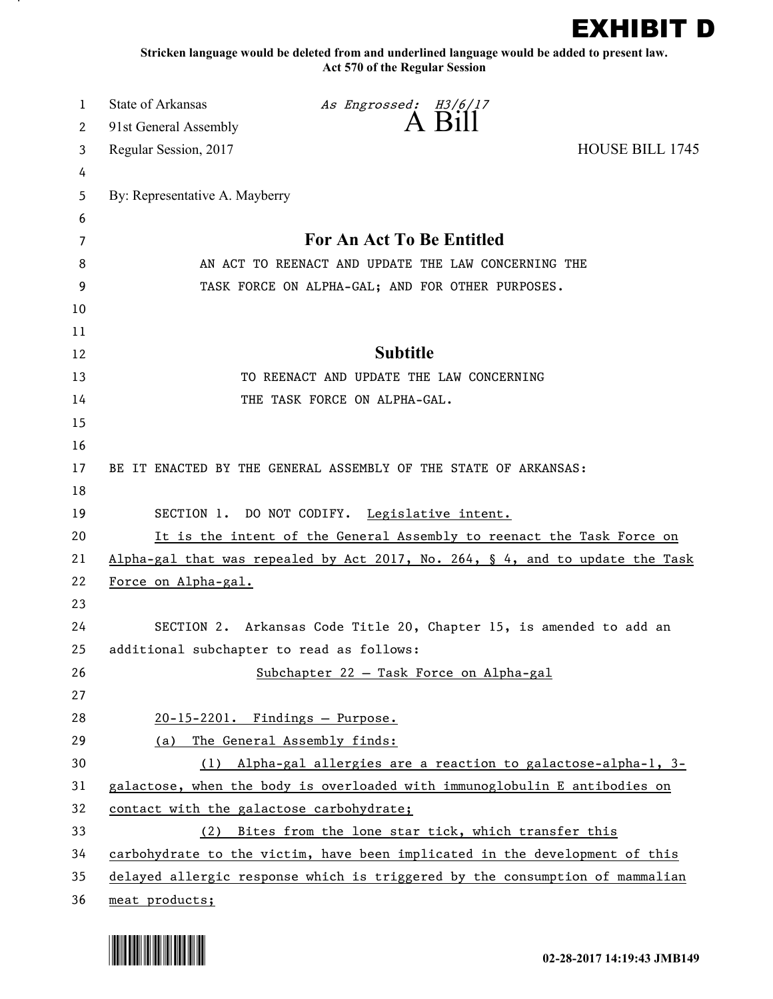EXHIBIT D

**Stricken language would be deleted from and underlined language would be added to present law. Act 570 of the Regular Session**

| 1  | State of Arkansas                         | As Engrossed: H3/6/17                                                         |                        |
|----|-------------------------------------------|-------------------------------------------------------------------------------|------------------------|
| 2  | 91st General Assembly                     | A Bill                                                                        |                        |
| 3  | Regular Session, 2017                     |                                                                               | <b>HOUSE BILL 1745</b> |
| 4  |                                           |                                                                               |                        |
| 5  | By: Representative A. Mayberry            |                                                                               |                        |
| 6  |                                           |                                                                               |                        |
| 7  |                                           | For An Act To Be Entitled                                                     |                        |
| 8  |                                           | AN ACT TO REENACT AND UPDATE THE LAW CONCERNING THE                           |                        |
| 9  |                                           | TASK FORCE ON ALPHA-GAL; AND FOR OTHER PURPOSES.                              |                        |
| 10 |                                           |                                                                               |                        |
| 11 |                                           |                                                                               |                        |
| 12 |                                           | <b>Subtitle</b>                                                               |                        |
| 13 |                                           | TO REENACT AND UPDATE THE LAW CONCERNING                                      |                        |
| 14 |                                           | THE TASK FORCE ON ALPHA-GAL.                                                  |                        |
| 15 |                                           |                                                                               |                        |
| 16 |                                           |                                                                               |                        |
| 17 |                                           | BE IT ENACTED BY THE GENERAL ASSEMBLY OF THE STATE OF ARKANSAS:               |                        |
| 18 |                                           |                                                                               |                        |
| 19 |                                           | SECTION 1. DO NOT CODIFY. Legislative intent.                                 |                        |
| 20 |                                           | It is the intent of the General Assembly to reenact the Task Force on         |                        |
| 21 |                                           | Alpha-gal that was repealed by Act 2017, No. 264, § 4, and to update the Task |                        |
| 22 | Force on Alpha-gal.                       |                                                                               |                        |
| 23 |                                           |                                                                               |                        |
| 24 |                                           | SECTION 2. Arkansas Code Title 20, Chapter 15, is amended to add an           |                        |
| 25 | additional subchapter to read as follows: |                                                                               |                        |
| 26 |                                           | Subchapter 22 - Task Force on Alpha-gal                                       |                        |
| 27 |                                           |                                                                               |                        |
| 28 | $20-15-2201$ . Findings - Purpose.        |                                                                               |                        |
| 29 | (a)                                       | The General Assembly finds:                                                   |                        |
| 30 |                                           | (1) Alpha-gal allergies are a reaction to galactose-alpha-1, 3-               |                        |
| 31 |                                           | galactose, when the body is overloaded with immunoglobulin E antibodies on    |                        |
| 32 | contact with the galactose carbohydrate;  |                                                                               |                        |
| 33 |                                           | (2) Bites from the lone star tick, which transfer this                        |                        |
| 34 |                                           | carbohydrate to the victim, have been implicated in the development of this   |                        |
| 35 |                                           | delayed allergic response which is triggered by the consumption of mammalian  |                        |
| 36 | meat products;                            |                                                                               |                        |



.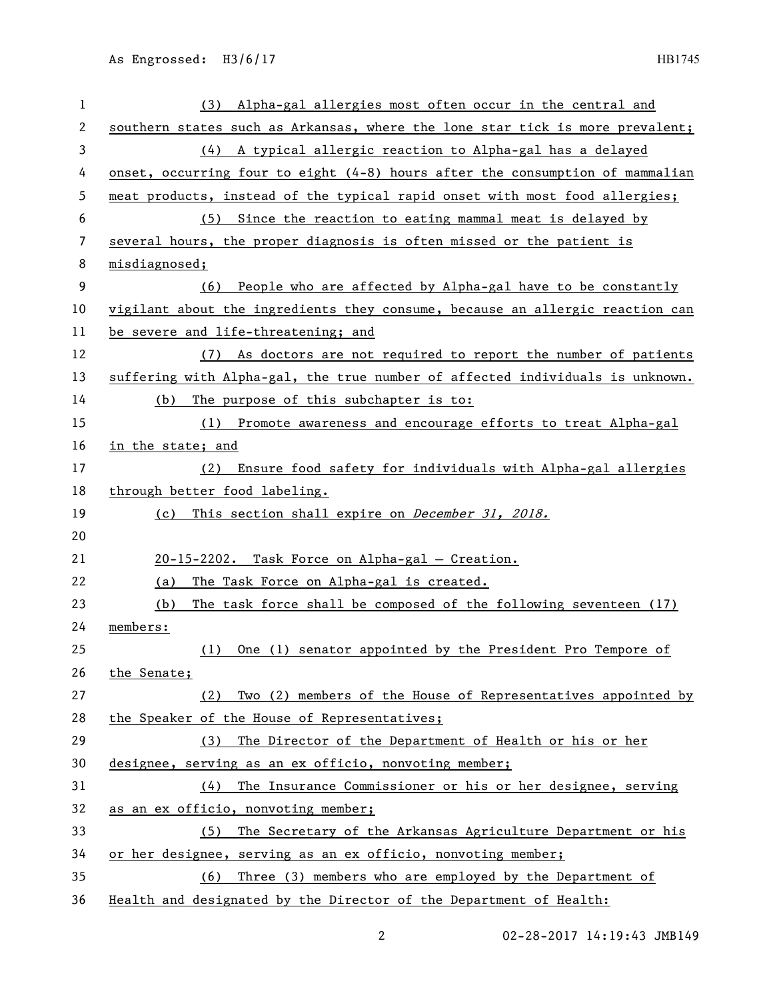| 1  | Alpha-gal allergies most often occur in the central and<br>(3)                |  |  |
|----|-------------------------------------------------------------------------------|--|--|
| 2  | southern states such as Arkansas, where the lone star tick is more prevalent; |  |  |
| 3  | (4) A typical allergic reaction to Alpha-gal has a delayed                    |  |  |
| 4  | onset, occurring four to eight (4-8) hours after the consumption of mammalian |  |  |
| 5  | meat products, instead of the typical rapid onset with most food allergies;   |  |  |
| 6  | Since the reaction to eating mammal meat is delayed by<br>(5)                 |  |  |
| 7  | several hours, the proper diagnosis is often missed or the patient is         |  |  |
| 8  | misdiagnosed;                                                                 |  |  |
| 9  | People who are affected by Alpha-gal have to be constantly<br>(6)             |  |  |
| 10 | vigilant about the ingredients they consume, because an allergic reaction can |  |  |
| 11 | be severe and life-threatening; and                                           |  |  |
| 12 | (7) As doctors are not required to report the number of patients              |  |  |
| 13 | suffering with Alpha-gal, the true number of affected individuals is unknown. |  |  |
| 14 | The purpose of this subchapter is to:<br>(b)                                  |  |  |
| 15 | (1) Promote awareness and encourage efforts to treat Alpha-gal                |  |  |
| 16 | in the state; and                                                             |  |  |
| 17 | Ensure food safety for individuals with Alpha-gal allergies<br>(2)            |  |  |
| 18 | through better food labeling.                                                 |  |  |
| 19 | This section shall expire on <i>December 31, 2018.</i><br>(c)                 |  |  |
| 20 |                                                                               |  |  |
| 21 | 20-15-2202. Task Force on Alpha-gal - Creation.                               |  |  |
| 22 | The Task Force on Alpha-gal is created.<br>(a)                                |  |  |
| 23 | The task force shall be composed of the following seventeen (17)<br>(b)       |  |  |
| 24 | members:                                                                      |  |  |
| 25 | One (1) senator appointed by the President Pro Tempore of<br>(1)              |  |  |
| 26 | the Senate;                                                                   |  |  |
| 27 | Two (2) members of the House of Representatives appointed by<br>(2)           |  |  |
| 28 | the Speaker of the House of Representatives;                                  |  |  |
| 29 | The Director of the Department of Health or his or her<br>(3)                 |  |  |
| 30 | designee, serving as an ex officio, nonvoting member;                         |  |  |
| 31 | The Insurance Commissioner or his or her designee, serving<br>(4)             |  |  |
| 32 | as an ex officio, nonvoting member;                                           |  |  |
| 33 | The Secretary of the Arkansas Agriculture Department or his<br>(5)            |  |  |
| 34 | or her designee, serving as an ex officio, nonvoting member;                  |  |  |
| 35 | Three (3) members who are employed by the Department of<br>(6)                |  |  |
| 36 | Health and designated by the Director of the Department of Health:            |  |  |

02-28-2017 14:19:43 JMB149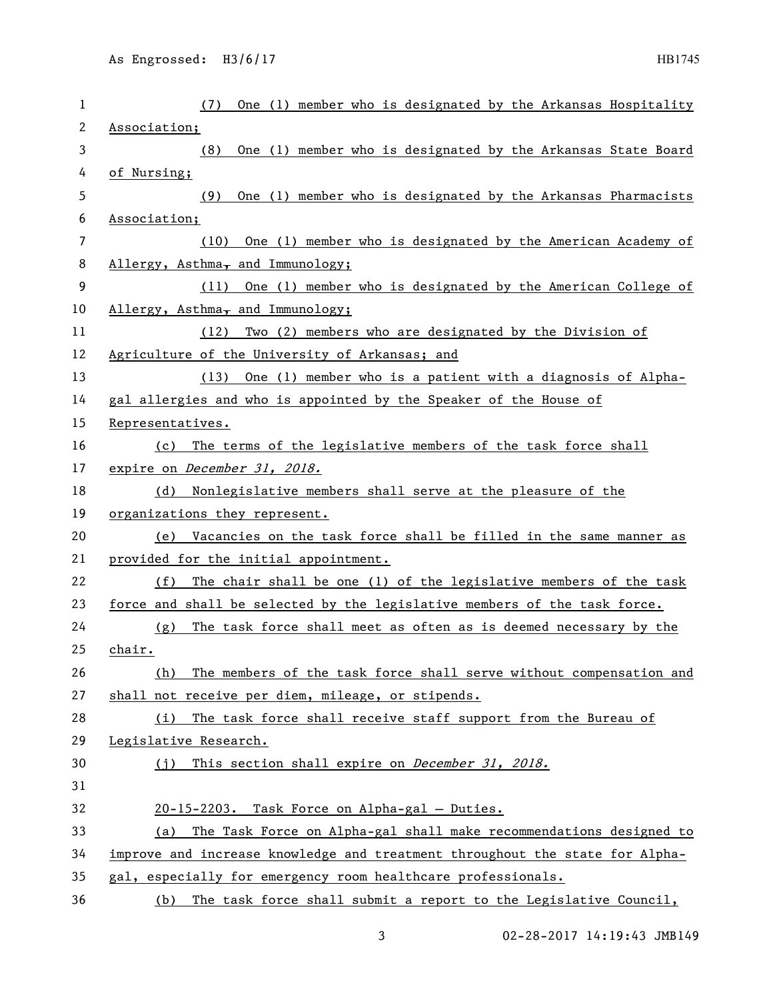| 1  | One (1) member who is designated by the Arkansas Hospitality<br>(7)          |  |  |
|----|------------------------------------------------------------------------------|--|--|
| 2  | Association;                                                                 |  |  |
| 3  | One (1) member who is designated by the Arkansas State Board<br>(8)          |  |  |
| 4  | of Nursing;                                                                  |  |  |
| 5  | One (1) member who is designated by the Arkansas Pharmacists<br>(9)          |  |  |
| 6  | Association;                                                                 |  |  |
| 7  | One (1) member who is designated by the American Academy of<br>(10)          |  |  |
| 8  | Allergy, Asthma, and Immunology;                                             |  |  |
| 9  | (11) One (1) member who is designated by the American College of             |  |  |
| 10 | Allergy, Asthma, and Immunology;                                             |  |  |
| 11 | Two (2) members who are designated by the Division of<br>(12)                |  |  |
| 12 | Agriculture of the University of Arkansas; and                               |  |  |
| 13 | One (1) member who is a patient with a diagnosis of Alpha-<br>(13)           |  |  |
| 14 | gal allergies and who is appointed by the Speaker of the House of            |  |  |
| 15 | Representatives.                                                             |  |  |
| 16 | The terms of the legislative members of the task force shall<br>(c)          |  |  |
| 17 | expire on December 31, 2018.                                                 |  |  |
| 18 | Nonlegislative members shall serve at the pleasure of the<br>(d)             |  |  |
| 19 | organizations they represent.                                                |  |  |
| 20 | Vacancies on the task force shall be filled in the same manner as<br>(e)     |  |  |
| 21 | provided for the initial appointment.                                        |  |  |
| 22 | The chair shall be one (1) of the legislative members of the task<br>(f)     |  |  |
| 23 | force and shall be selected by the legislative members of the task force.    |  |  |
| 24 | The task force shall meet as often as is deemed necessary by the<br>(g)      |  |  |
| 25 | chair.                                                                       |  |  |
| 26 | The members of the task force shall serve without compensation and<br>(h)    |  |  |
| 27 | shall not receive per diem, mileage, or stipends.                            |  |  |
| 28 | (i) The task force shall receive staff support from the Bureau of            |  |  |
| 29 | Legislative Research.                                                        |  |  |
| 30 | (i) This section shall expire on <i>December 31</i> , 2018.                  |  |  |
| 31 |                                                                              |  |  |
| 32 | 20-15-2203. Task Force on Alpha-gal - Duties.                                |  |  |
| 33 | The Task Force on Alpha-gal shall make recommendations designed to<br>(a)    |  |  |
| 34 | improve and increase knowledge and treatment throughout the state for Alpha- |  |  |
| 35 | gal, especially for emergency room healthcare professionals.                 |  |  |
| 36 | (b) The task force shall submit a report to the Legislative Council,         |  |  |

02-28-2017 14:19:43 JMB149